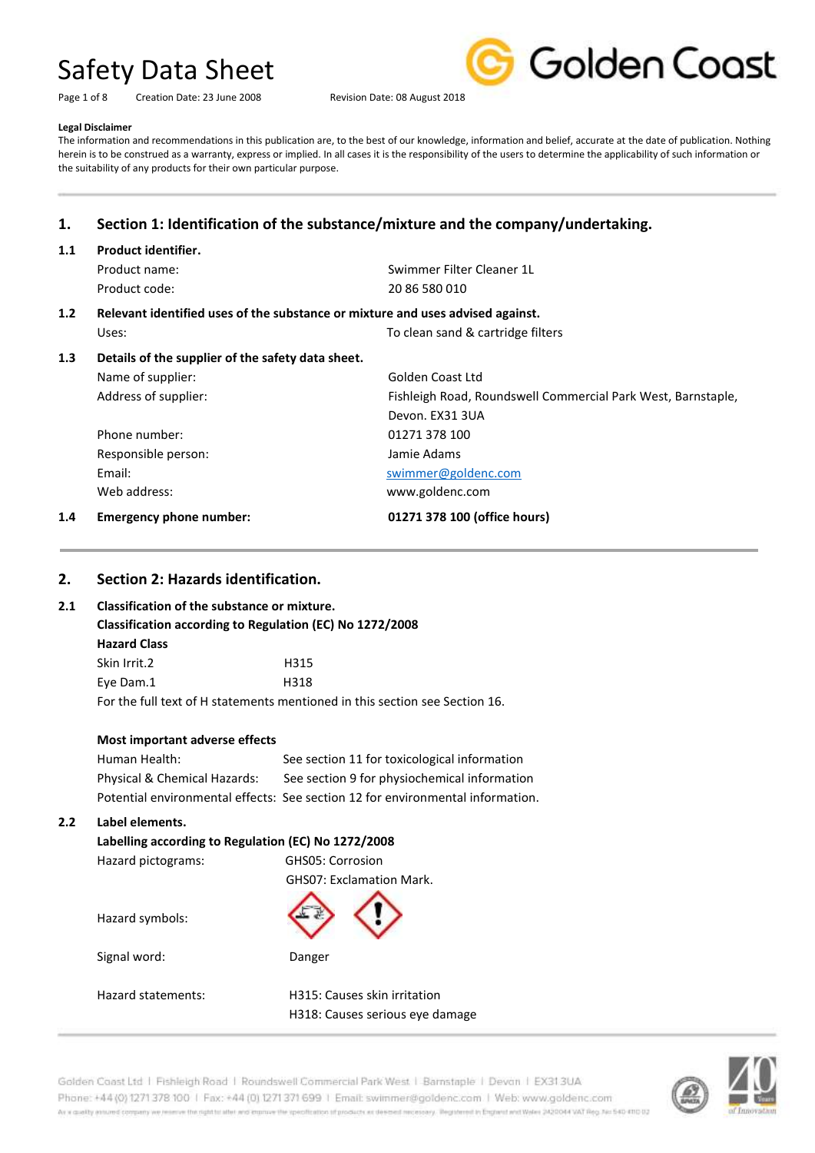Page 1 of 8 Creation Date: 23 June 2008 Revision Date: 08 August 2018



#### **Legal Disclaimer**

The information and recommendations in this publication are, to the best of our knowledge, information and belief, accurate at the date of publication. Nothing herein is to be construed as a warranty, express or implied. In all cases it is the responsibility of the users to determine the applicability of such information or the suitability of any products for their own particular purpose.

## **1. Section 1: Identification of the substance/mixture and the company/undertaking.**

### **1.1 Product identifier.**

Product code: 20 86 580 010

Product name: Swimmer Filter Cleaner 1L

### **1.2 Relevant identified uses of the substance or mixture and uses advised against.**

Uses: Uses: Uses: To clean sand & cartridge filters **1.3 Details of the supplier of the safety data sheet.** Name of supplier: Golden Coast Ltd Address of supplier: Fishleigh Road, Roundswell Commercial Park West, Barnstaple, Devon. EX31 3UA Phone number: 01271 378 100 Responsible person: Jamie Adams Email: Email: Email: Swimmer@goldenc.com Web address: www.goldenc.com **1.4 Emergency phone number: 01271 378 100 (office hours)**

## **2. Section 2: Hazards identification.**

### **2.1 Classification of the substance or mixture.**

**Classification according to Regulation (EC) No 1272/2008**

**Hazard Class** Skin Irrit.2 H315 Eye Dam.1 H318 For the full text of H statements mentioned in this section see Section 16.

### **Most important adverse effects**

| Human Health:                | See section 11 for toxicological information                                   |
|------------------------------|--------------------------------------------------------------------------------|
| Physical & Chemical Hazards: | See section 9 for physiochemical information                                   |
|                              | Potential environmental effects: See section 12 for environmental information. |

### **2.2 Label elements.**

| Labelling according to Regulation (EC) No 1272/2008 |                                 |
|-----------------------------------------------------|---------------------------------|
| Hazard pictograms:                                  | GHS05: Corrosion                |
|                                                     | <b>GHSO7: Exclamation Mark.</b> |
| Hazard symbols:                                     |                                 |
| Signal word:                                        | Danger                          |
|                                                     |                                 |
| Hazard statements:                                  | H315: Causes skin irritation    |
|                                                     | H318: Causes serious eve damage |

Golden Coast Ltd | Fishleigh Road | Roundswell Commercial Park West | Barnstaple | Devon | EX31.3UA Phone: +44 (0) 1271 378 100 | Fax: +44 (0) 1271 371 699 | Email: swimmer@goldenc.com | Web: www.goldenc.com As a quality annumel company we renewe the right to aller wid improve the specification of products as deemed recessory. Registered in England and Wales 2420044 VAT Reg. No 540-410 02

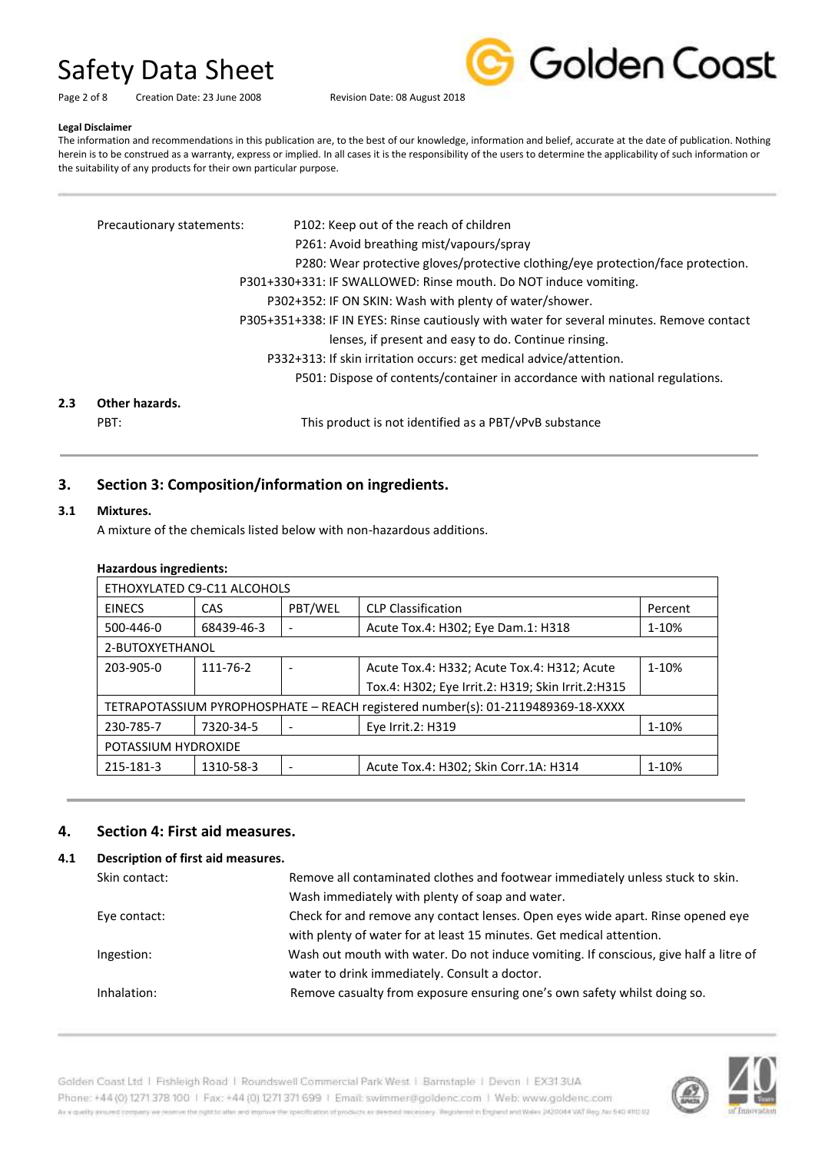Golden Coast

Page 2 of 8 Creation Date: 23 June 2008 Revision Date: 08 August 2018

#### **Legal Disclaimer**

The information and recommendations in this publication are, to the best of our knowledge, information and belief, accurate at the date of publication. Nothing herein is to be construed as a warranty, express or implied. In all cases it is the responsibility of the users to determine the applicability of such information or the suitability of any products for their own particular purpose.

|     | Precautionary statements: | P102: Keep out of the reach of children                                                   |
|-----|---------------------------|-------------------------------------------------------------------------------------------|
|     |                           | P261: Avoid breathing mist/vapours/spray                                                  |
|     |                           | P280: Wear protective gloves/protective clothing/eye protection/face protection.          |
|     |                           | P301+330+331: IF SWALLOWED: Rinse mouth. Do NOT induce vomiting.                          |
|     |                           | P302+352: IF ON SKIN: Wash with plenty of water/shower.                                   |
|     |                           | P305+351+338: IF IN EYES: Rinse cautiously with water for several minutes. Remove contact |
|     |                           | lenses, if present and easy to do. Continue rinsing.                                      |
|     |                           | P332+313: If skin irritation occurs: get medical advice/attention.                        |
|     |                           | P501: Dispose of contents/container in accordance with national regulations.              |
| 2.3 | Other hazards.            |                                                                                           |
|     | PBT:                      | This product is not identified as a PBT/vPvB substance                                    |
|     |                           |                                                                                           |

## **3. Section 3: Composition/information on ingredients.**

### **3.1 Mixtures.**

A mixture of the chemicals listed below with non-hazardous additions.

|  | <b>Hazardous ingredients:</b> |
|--|-------------------------------|
|--|-------------------------------|

| ETHOXYLATED C9-C11 ALCOHOLS                                                      |            |         |                                                   |         |
|----------------------------------------------------------------------------------|------------|---------|---------------------------------------------------|---------|
| <b>EINECS</b>                                                                    | CAS        | PBT/WEL | <b>CLP Classification</b>                         | Percent |
| 500-446-0                                                                        | 68439-46-3 |         | Acute Tox.4: H302; Eye Dam.1: H318                | 1-10%   |
| 2-BUTOXYETHANOL                                                                  |            |         |                                                   |         |
| 203-905-0                                                                        | 111-76-2   |         | Acute Tox.4: H332; Acute Tox.4: H312; Acute       | 1-10%   |
|                                                                                  |            |         | Tox.4: H302; Eye Irrit.2: H319; Skin Irrit.2:H315 |         |
| TETRAPOTASSIUM PYROPHOSPHATE - REACH registered number(s): 01-2119489369-18-XXXX |            |         |                                                   |         |
| 230-785-7                                                                        | 7320-34-5  |         | Eye Irrit.2: H319                                 | 1-10%   |
| POTASSIUM HYDROXIDE                                                              |            |         |                                                   |         |
| 215-181-3                                                                        | 1310-58-3  |         | Acute Tox.4: H302; Skin Corr.1A: H314             | 1-10%   |

### **4. Section 4: First aid measures.**

### **4.1 Description of first aid measures.**

| Skin contact: | Remove all contaminated clothes and footwear immediately unless stuck to skin.        |
|---------------|---------------------------------------------------------------------------------------|
|               | Wash immediately with plenty of soap and water.                                       |
| Eye contact:  | Check for and remove any contact lenses. Open eyes wide apart. Rinse opened eye       |
|               | with plenty of water for at least 15 minutes. Get medical attention.                  |
| Ingestion:    | Wash out mouth with water. Do not induce vomiting. If conscious, give half a litre of |
|               | water to drink immediately. Consult a doctor.                                         |
| Inhalation:   | Remove casualty from exposure ensuring one's own safety whilst doing so.              |
|               |                                                                                       |



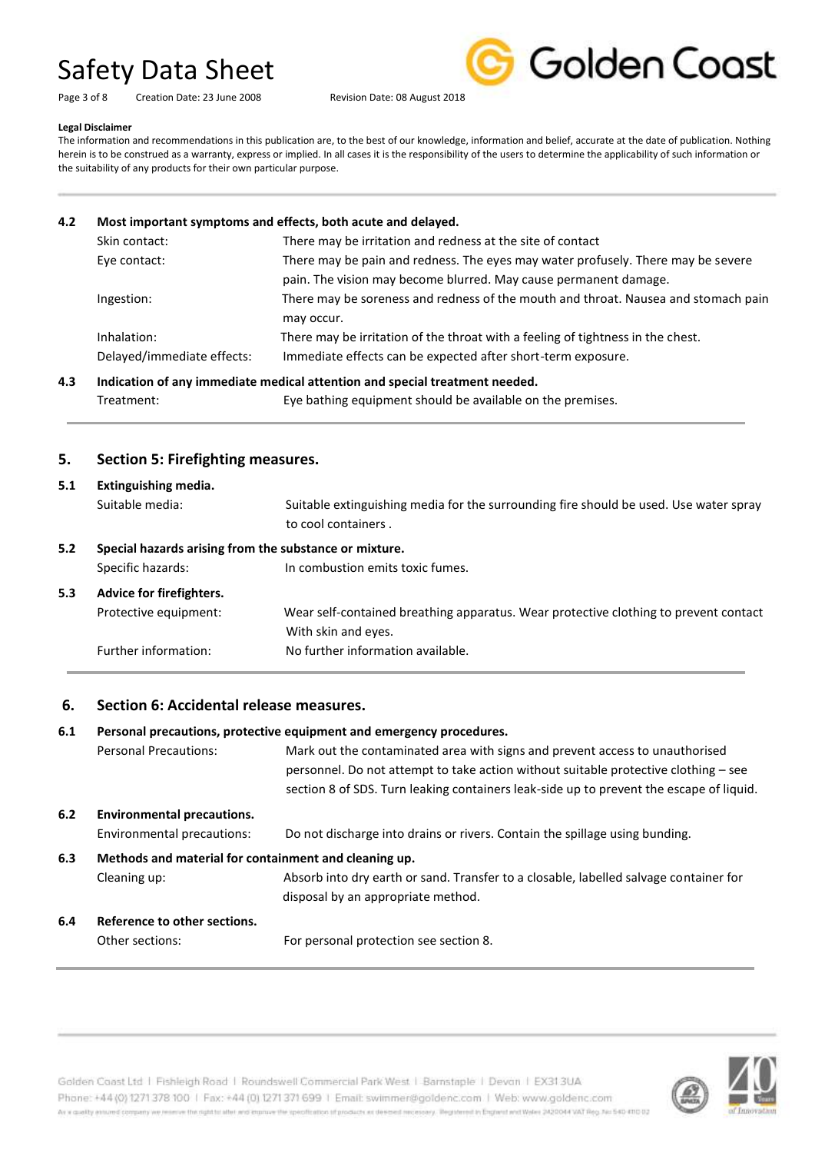Page 3 of 8 Creation Date: 23 June 2008 Revision Date: 08 August 2018



#### **Legal Disclaimer**

The information and recommendations in this publication are, to the best of our knowledge, information and belief, accurate at the date of publication. Nothing herein is to be construed as a warranty, express or implied. In all cases it is the responsibility of the users to determine the applicability of such information or the suitability of any products for their own particular purpose.

### **4.2 Most important symptoms and effects, both acute and delayed.**

| Skin contact:              | There may be irritation and redness at the site of contact                         |
|----------------------------|------------------------------------------------------------------------------------|
| Eye contact:               | There may be pain and redness. The eyes may water profusely. There may be severe   |
|                            | pain. The vision may become blurred. May cause permanent damage.                   |
| Ingestion:                 | There may be soreness and redness of the mouth and throat. Nausea and stomach pain |
|                            | may occur.                                                                         |
| Inhalation:                | There may be irritation of the throat with a feeling of tightness in the chest.    |
| Delayed/immediate effects: | Immediate effects can be expected after short-term exposure.                       |
|                            |                                                                                    |

**4.3 Indication of any immediate medical attention and special treatment needed.** Treatment: Eye bathing equipment should be available on the premises.

### **5. Section 5: Firefighting measures.**

| 5.1<br>Extinguishing media. |                                                        |                                                                                       |
|-----------------------------|--------------------------------------------------------|---------------------------------------------------------------------------------------|
|                             | Suitable media:                                        | Suitable extinguishing media for the surrounding fire should be used. Use water spray |
|                             |                                                        | to cool containers.                                                                   |
| 5.2                         | Special hazards arising from the substance or mixture. |                                                                                       |
|                             | Specific hazards:                                      | In combustion emits toxic fumes.                                                      |
| 5.3                         | Advice for firefighters.                               |                                                                                       |
|                             | Protective equipment:                                  | Wear self-contained breathing apparatus. Wear protective clothing to prevent contact  |
|                             |                                                        | With skin and eyes.                                                                   |
|                             | Further information:                                   | No further information available.                                                     |

### **6. Section 6: Accidental release measures.**

### **6.1 Personal precautions, protective equipment and emergency procedures.**

Personal Precautions: Mark out the contaminated area with signs and prevent access to unauthorised personnel. Do not attempt to take action without suitable protective clothing – see section 8 of SDS. Turn leaking containers leak-side up to prevent the escape of liquid.

## **6.2 Environmental precautions.**

Environmental precautions: Do not discharge into drains or rivers. Contain the spillage using bunding.

## **6.3 Methods and material for containment and cleaning up.**

Cleaning up: Absorb into dry earth or sand. Transfer to a closable, labelled salvage container for disposal by an appropriate method.

## **6.4 Reference to other sections.**

Other sections: For personal protection see section 8.

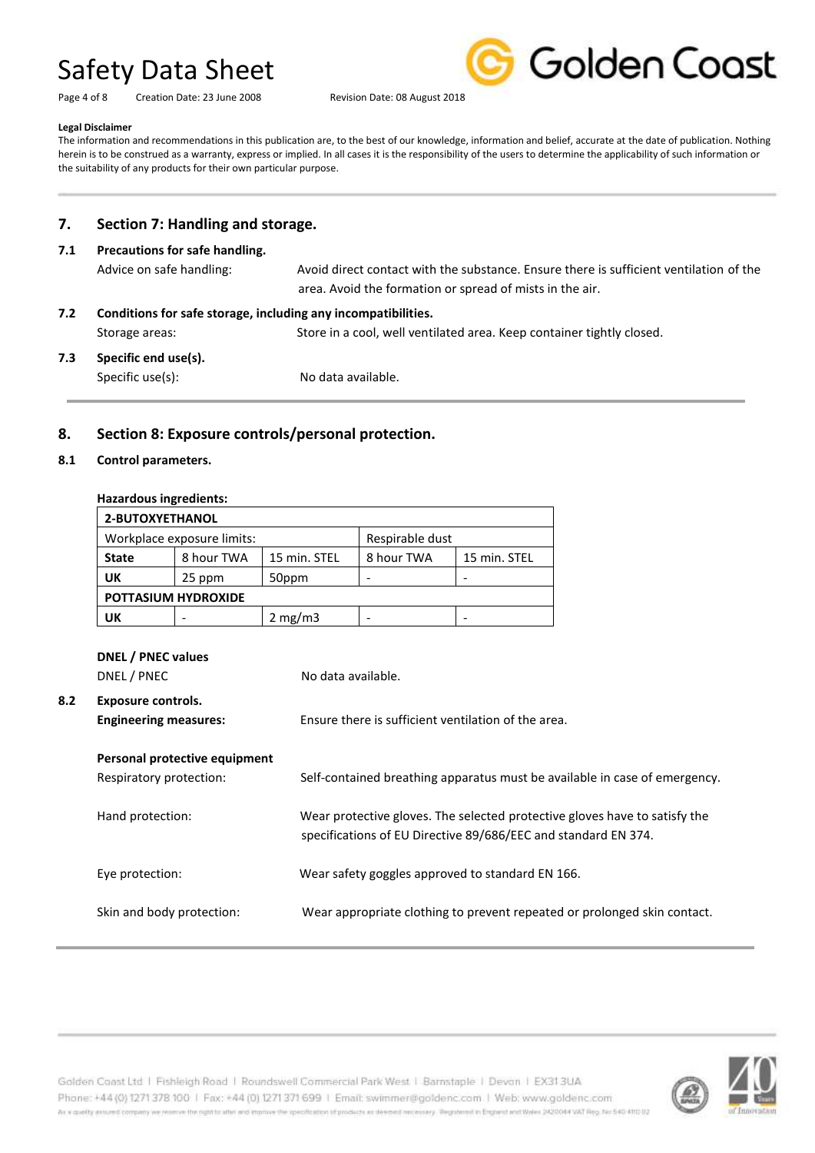Page 4 of 8 Creation Date: 23 June 2008 Revision Date: 08 August 2018



#### **Legal Disclaimer**

The information and recommendations in this publication are, to the best of our knowledge, information and belief, accurate at the date of publication. Nothing herein is to be construed as a warranty, express or implied. In all cases it is the responsibility of the users to determine the applicability of such information or the suitability of any products for their own particular purpose.

### **7. Section 7: Handling and storage.**

## **7.1 Precautions for safe handling.** Advice on safe handling: Avoid direct contact with the substance. Ensure there is sufficient ventilation of the area. Avoid the formation or spread of mists in the air. **7.2 Conditions for safe storage, including any incompatibilities.** Storage areas: Store in a cool, well ventilated area. Keep container tightly closed. **7.3 Specific end use(s).** Specific use(s): No data available.

### **8. Section 8: Exposure controls/personal protection.**

### **8.1 Control parameters.**

### **Hazardous ingredients:**

| 2-BUTOXYETHANOL                               |            |                  |            |              |
|-----------------------------------------------|------------|------------------|------------|--------------|
| Respirable dust<br>Workplace exposure limits: |            |                  |            |              |
| <b>State</b>                                  | 8 hour TWA | 15 min. STEL     | 8 hour TWA | 15 min. STEL |
| UK                                            | 25 ppm     | 50ppm            |            |              |
| <b>POTTASIUM HYDROXIDE</b>                    |            |                  |            |              |
| UK                                            |            | $2 \text{ mg/m}$ |            |              |

|     | DNEL / PNEC values<br>DNEL / PNEC                        | No data available.                                                                                                                           |
|-----|----------------------------------------------------------|----------------------------------------------------------------------------------------------------------------------------------------------|
| 8.2 | Exposure controls.<br><b>Engineering measures:</b>       | Ensure there is sufficient ventilation of the area.                                                                                          |
|     | Personal protective equipment<br>Respiratory protection: | Self-contained breathing apparatus must be available in case of emergency.                                                                   |
|     | Hand protection:                                         | Wear protective gloves. The selected protective gloves have to satisfy the<br>specifications of EU Directive 89/686/EEC and standard EN 374. |
|     | Eye protection:                                          | Wear safety goggles approved to standard EN 166.                                                                                             |
|     | Skin and body protection:                                | Wear appropriate clothing to prevent repeated or prolonged skin contact.                                                                     |

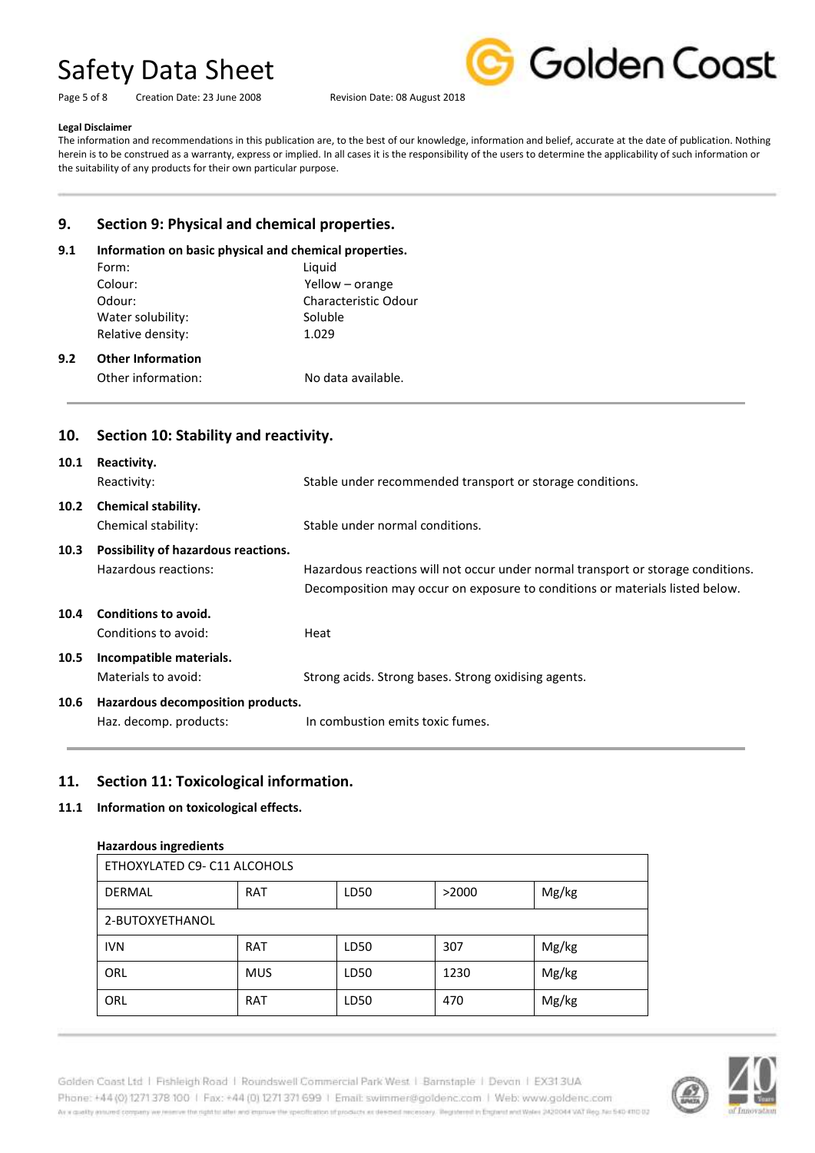Page 5 of 8 Creation Date: 23 June 2008 Revision Date: 08 August 2018



#### **Legal Disclaimer**

**9.2 Other Information**

The information and recommendations in this publication are, to the best of our knowledge, information and belief, accurate at the date of publication. Nothing herein is to be construed as a warranty, express or implied. In all cases it is the responsibility of the users to determine the applicability of such information or the suitability of any products for their own particular purpose.

## **9. Section 9: Physical and chemical properties.**

### **9.1 Information on basic physical and chemical properties.**

| Form:                    | Liquid                      |
|--------------------------|-----------------------------|
| Colour:                  | Yellow – orange             |
| Odour:                   | <b>Characteristic Odour</b> |
| Water solubility:        | Soluble                     |
| Relative density:        | 1.029                       |
| <b>Other Information</b> |                             |

Other information: No data available.

### **10. Section 10: Stability and reactivity.**

| 10.1              | Reactivity.<br>Reactivity:                                  | Stable under recommended transport or storage conditions.                                                                                                        |
|-------------------|-------------------------------------------------------------|------------------------------------------------------------------------------------------------------------------------------------------------------------------|
| 10.2 <sub>1</sub> | <b>Chemical stability.</b><br>Chemical stability:           | Stable under normal conditions.                                                                                                                                  |
| 10.3              | Possibility of hazardous reactions.<br>Hazardous reactions: | Hazardous reactions will not occur under normal transport or storage conditions.<br>Decomposition may occur on exposure to conditions or materials listed below. |
| 10.4              | Conditions to avoid.<br>Conditions to avoid:                | Heat                                                                                                                                                             |
| 10.5              | Incompatible materials.<br>Materials to avoid:              | Strong acids. Strong bases. Strong oxidising agents.                                                                                                             |
| 10.6              | Hazardous decomposition products.<br>Haz. decomp. products: | In combustion emits toxic fumes.                                                                                                                                 |

### **11. Section 11: Toxicological information.**

### **11.1 Information on toxicological effects.**

### **Hazardous ingredients**

| ETHOXYLATED C9- C11 ALCOHOLS |            |      |       |       |
|------------------------------|------------|------|-------|-------|
| <b>DERMAL</b>                | <b>RAT</b> | LD50 | >2000 | Mg/kg |
| 2-BUTOXYETHANOL              |            |      |       |       |
| <b>IVN</b>                   | <b>RAT</b> | LD50 | 307   | Mg/kg |
| ORL                          | <b>MUS</b> | LD50 | 1230  | Mg/kg |
| ORL                          | <b>RAT</b> | LD50 | 470   | Mg/kg |

Golden Coast Ltd | Fishleigh Road | Roundswell Commercial Park West | Barnstaple | Devon | EX313UA Phone: +44 (0) 1271 378 100 | Fax: +44 (0) 1271 371 699 | Email: swimmer@goldenc.com | Web: www.goldenc.com As a quality ensured company we reserve the right to after and enprice the specification of products as deepent recessary. Registered in England and Wales (AQDO44 VAT Reg. Just 540-410 D2

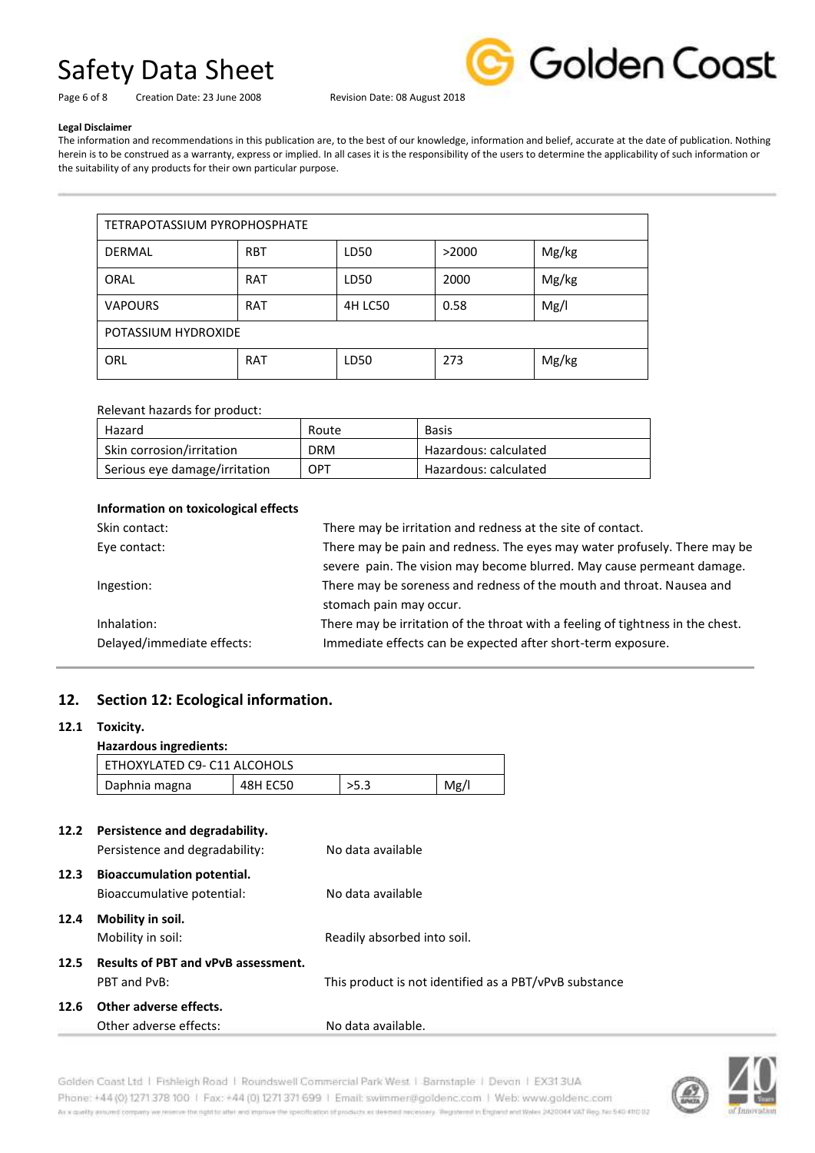

Page 6 of 8 Creation Date: 23 June 2008 Revision Date: 08 August 2018

#### **Legal Disclaimer**

The information and recommendations in this publication are, to the best of our knowledge, information and belief, accurate at the date of publication. Nothing herein is to be construed as a warranty, express or implied. In all cases it is the responsibility of the users to determine the applicability of such information or the suitability of any products for their own particular purpose.

| <b>TETRAPOTASSIUM PYROPHOSPHATE</b> |            |                |       |       |
|-------------------------------------|------------|----------------|-------|-------|
| <b>DERMAL</b>                       | <b>RBT</b> | LD50           | >2000 | Mg/kg |
| ORAL                                | RAT        | LD50           | 2000  | Mg/kg |
| <b>VAPOURS</b>                      | RAT        | <b>4H LC50</b> | 0.58  | Mg/l  |
| POTASSIUM HYDROXIDE                 |            |                |       |       |
| ORL                                 | <b>RAT</b> | LD50           | 273   | Mg/kg |

### Relevant hazards for product:

| Hazard                        | Route      | <b>Basis</b>          |
|-------------------------------|------------|-----------------------|
| Skin corrosion/irritation     | <b>DRM</b> | Hazardous: calculated |
| Serious eye damage/irritation | OPT        | Hazardous: calculated |

### **Information on toxicological effects**

| Skin contact:              | There may be irritation and redness at the site of contact.                     |
|----------------------------|---------------------------------------------------------------------------------|
| Eye contact:               | There may be pain and redness. The eyes may water profusely. There may be       |
|                            | severe pain. The vision may become blurred. May cause permeant damage.          |
| Ingestion:                 | There may be soreness and redness of the mouth and throat. Nausea and           |
|                            | stomach pain may occur.                                                         |
| Inhalation:                | There may be irritation of the throat with a feeling of tightness in the chest. |
| Delayed/immediate effects: | Immediate effects can be expected after short-term exposure.                    |

### **12. Section 12: Ecological information.**

### **12.1 Toxicity.**

### **Hazardous ingredients:**

| ETHOXYLATED C9- C11 ALCOHOLS |          |      |      |
|------------------------------|----------|------|------|
| Daphnia magna                | 48H EC50 | >5.3 | Mg/l |

| 12.2 | Persistence and degradability.             |                                                        |
|------|--------------------------------------------|--------------------------------------------------------|
|      | Persistence and degradability:             | No data available                                      |
| 12.3 | <b>Bioaccumulation potential.</b>          |                                                        |
|      | Bioaccumulative potential:                 | No data available                                      |
| 12.4 | Mobility in soil.                          |                                                        |
|      | Mobility in soil:                          | Readily absorbed into soil.                            |
| 12.5 | <b>Results of PBT and vPvB assessment.</b> |                                                        |
|      | PBT and PvB:                               | This product is not identified as a PBT/vPvB substance |
| 12.6 | Other adverse effects.                     |                                                        |
|      | Other adverse effects:                     | No data available.                                     |



Golden Coast Ltd | Fishleigh Road | Roundswell Commercial Park West | Barnstaple | Devon | EX313UA Phone: +44 (0) 1271 378 100 | Fax: +44 (0) 1271 371 699 | Email: swimmer@goldenc.com | Web: www.goldenc.com As a quality ensured company we reserve the right to after and enprice the specification of products as deepent recessary. Registered in England and Wales (AQDO44 VAT Reg. Just 540-410 D2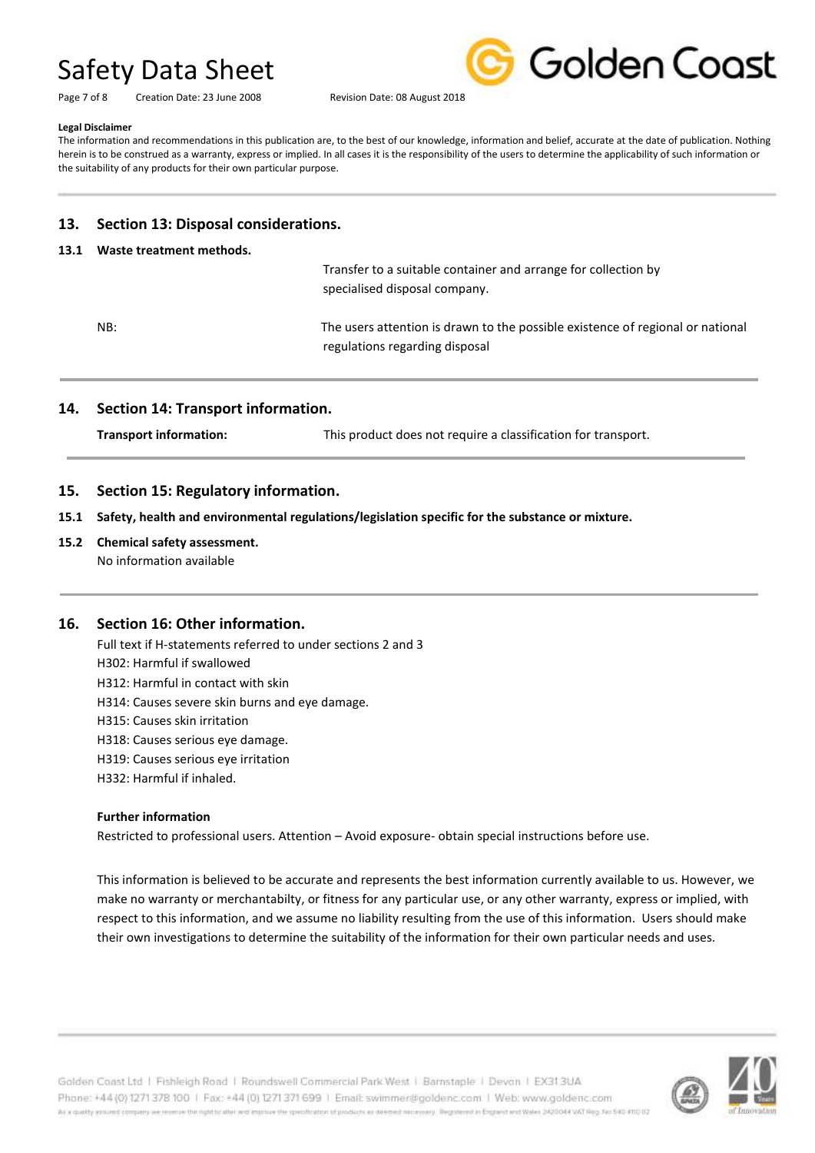Page 7 of 8 Creation Date: 23 June 2008 Revision Date: 08 August 2018



#### **Legal Disclaimer**

The information and recommendations in this publication are, to the best of our knowledge, information and belief, accurate at the date of publication. Nothing herein is to be construed as a warranty, express or implied. In all cases it is the responsibility of the users to determine the applicability of such information or the suitability of any products for their own particular purpose.

### **13. Section 13: Disposal considerations.**

### **13.1 Waste treatment methods.**

 Transfer to a suitable container and arrange for collection by specialised disposal company.

NB: The users attention is drawn to the possible existence of regional or national regulations regarding disposal

### **14. Section 14: Transport information.**

**Transport information:** This product does not require a classification for transport.

### **15. Section 15: Regulatory information.**

**15.1 Safety, health and environmental regulations/legislation specific for the substance or mixture.**

## **15.2 Chemical safety assessment.**

No information available

### **16. Section 16: Other information.**

Full text if H-statements referred to under sections 2 and 3 H302: Harmful if swallowed H312: Harmful in contact with skin H314: Causes severe skin burns and eye damage. H315: Causes skin irritation H318: Causes serious eye damage. H319: Causes serious eye irritation

H332: Harmful if inhaled.

### **Further information**

Restricted to professional users. Attention – Avoid exposure- obtain special instructions before use.

This information is believed to be accurate and represents the best information currently available to us. However, we make no warranty or merchantabilty, or fitness for any particular use, or any other warranty, express or implied, with respect to this information, and we assume no liability resulting from the use of this information. Users should make their own investigations to determine the suitability of the information for their own particular needs and uses.